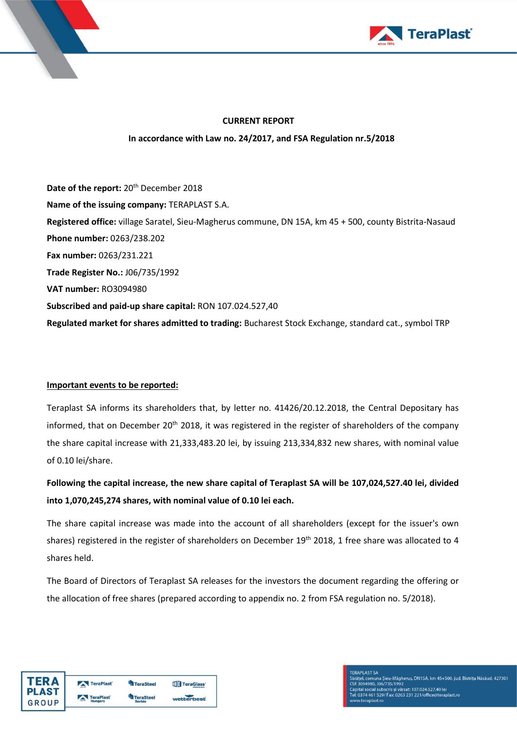



#### **CURRENT REPORT**

**In accordance with Law no. 24/2017, and FSA Regulation nr.5/2018**

**Date of the report:** 20th December 2018 **Name of the issuing company:** TERAPLAST S.A. **Registered office:** village Saratel, Sieu-Magherus commune, DN 15A, km 45 + 500, county Bistrita-Nasaud **Phone number:** 0263/238.202 **Fax number:** 0263/231.221 **Trade Register No.:** J06/735/1992 **VAT number:** RO3094980 **Subscribed and paid-up share capital:** RON 107.024.527,40 **Regulated market for shares admitted to trading:** Bucharest Stock Exchange, standard cat., symbol TRP

## **Important events to be reported:**

Teraplast SA informs its shareholders that, by letter no. 41426/20.12.2018, the Central Depositary has informed, that on December 20<sup>th</sup> 2018, it was registered in the register of shareholders of the company the share capital increase with 21,333,483.20 lei, by issuing 213,334,832 new shares, with nominal value of 0.10 lei/share.

**Following the capital increase, the new share capital of Teraplast SA will be 107,024,527.40 lei, divided into 1,070,245,274 shares, with nominal value of 0.10 lei each.** 

The share capital increase was made into the account of all shareholders (except for the issuer's own shares) registered in the register of shareholders on December 19<sup>th</sup> 2018, 1 free share was allocated to 4 shares held.

The Board of Directors of Teraplast SA releases for the investors the document regarding the offering or the allocation of free shares (prepared according to appendix no. 2 from FSA regulation no. 5/2018).

| <b>TERA</b>  | TeraPlast | <b>TeraSteel</b> | <b>ITIT</b> TeraGlass' |
|--------------|-----------|------------------|------------------------|
| <b>PLAST</b> | TeraPlast | <b>TeraSteel</b> |                        |
| GROUP        | Hungary   | <b>Serbia</b>    | wetterbest             |

l, comuna Șieu-Măgheruș, DN15A, km 45+500, jud. Bistrița Năsăud, 427301 Janajer, comuna pieu-magnetus, brytor, kin 49+500, juo<br>CUI 3094980, J06/735/1992<br>Capital social subscris și vărsat: 107.024.527,40 lei<br>Tel: 0374 461 529/ Fax: 0263 231 221/office@teraplast.ro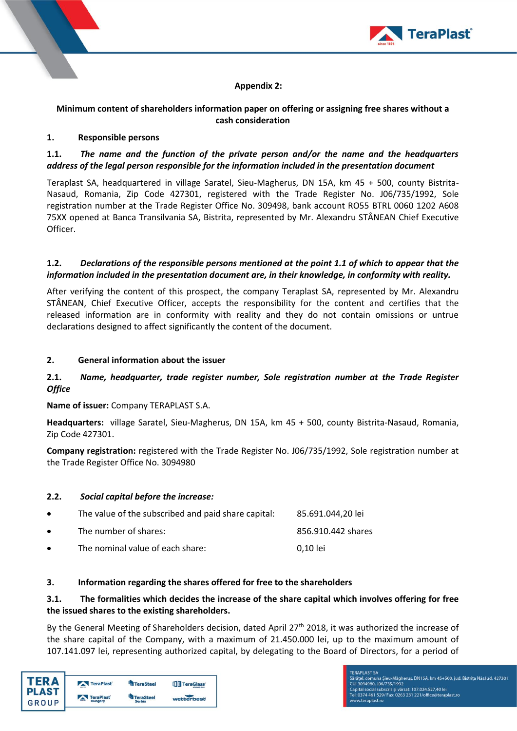

## **Appendix 2:**

## **Minimum content of shareholders information paper on offering or assigning free shares without a cash consideration**

#### **1. Responsible persons**

## **1.1.** *The name and the function of the private person and/or the name and the headquarters address of the legal person responsible for the information included in the presentation document*

Teraplast SA, headquartered in village Saratel, Sieu-Magherus, DN 15A, km 45 + 500, county Bistrita-Nasaud, Romania, Zip Code 427301, registered with the Trade Register No. J06/735/1992, Sole registration number at the Trade Register Office No. 309498, bank account RO55 BTRL 0060 1202 A608 75XX opened at Banca Transilvania SA, Bistrita, represented by Mr. Alexandru STÂNEAN Chief Executive Officer.

#### **1.2.** *Declarations of the responsible persons mentioned at the point 1.1 of which to appear that the information included in the presentation document are, in their knowledge, in conformity with reality.*

After verifying the content of this prospect, the company Teraplast SA, represented by Mr. Alexandru STÂNEAN, Chief Executive Officer, accepts the responsibility for the content and certifies that the released information are in conformity with reality and they do not contain omissions or untrue declarations designed to affect significantly the content of the document.

## **2. General information about the issuer**

# **2.1.** *Name, headquarter, trade register number, Sole registration number at the Trade Register Office*

**Name of issuer:** Company TERAPLAST S.A.

**Headquarters:** village Saratel, Sieu-Magherus, DN 15A, km 45 + 500, county Bistrita-Nasaud, Romania, Zip Code 427301.

**Company registration:** registered with the Trade Register No. J06/735/1992, Sole registration number at the Trade Register Office No. 3094980

## **2.2.** *Social capital before the increase:*

| $\bullet$ | The value of the subscribed and paid share capital: | 85.691.044.20 lei  |
|-----------|-----------------------------------------------------|--------------------|
| $\bullet$ | The number of shares:                               | 856.910.442 shares |
| $\bullet$ | The nominal value of each share:                    | 0.10 lei           |

## **3. Information regarding the shares offered for free to the shareholders**

# **3.1. The formalities which decides the increase of the share capital which involves offering for free the issued shares to the existing shareholders.**

By the General Meeting of Shareholders decision, dated April 27<sup>th</sup> 2018, it was authorized the increase of the share capital of the Company, with a maximum of 21.450.000 lei, up to the maximum amount of 107.141.097 lei, representing authorized capital, by delegating to the Board of Directors, for a period of

| <b>TERA</b><br><b>PLAST</b> | TeraPlast        | <b>TeraSteel</b> | <b>ITIT</b> TeraGlass' |
|-----------------------------|------------------|------------------|------------------------|
|                             | <b>TeraPlast</b> | <b>TeraSteel</b> |                        |
| <b>GROUP</b>                | Hungary          | <b>Serbia</b>    | wetterbest             |

el, comuna Șieu-Măgheruș, DN15A, km 45+500, jud. Bistrița Năsăud, 427301 Saraței, comuna șieu-magneruș, DNT5A, KM 45+500, Jud<br>CUI 3094980, J06/735/1992<br>Capital social subscris și vărsat: 107.024.527.40 lei<br>Tel: 0374 461 529/ Fax: 0263 231 221/office@teraplast.ro w.teraplast.ro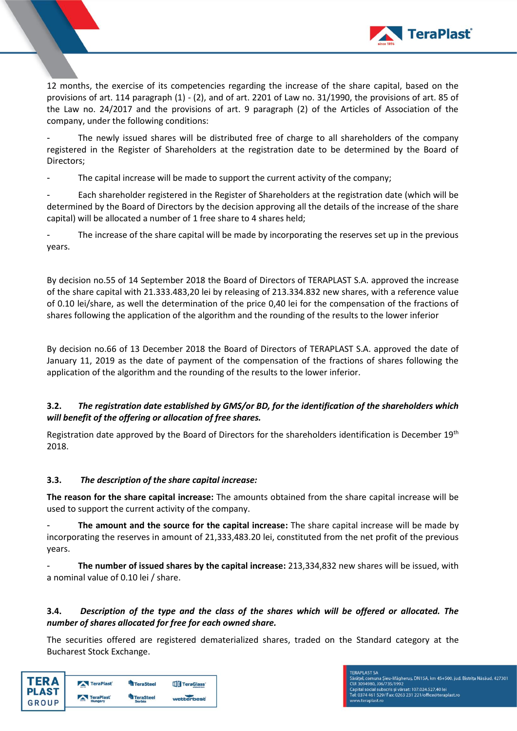

12 months, the exercise of its competencies regarding the increase of the share capital, based on the provisions of art. 114 paragraph (1) - (2), and of art. 2201 of Law no. 31/1990, the provisions of art. 85 of the Law no. 24/2017 and the provisions of art. 9 paragraph (2) of the Articles of Association of the company, under the following conditions:

The newly issued shares will be distributed free of charge to all shareholders of the company registered in the Register of Shareholders at the registration date to be determined by the Board of Directors;

The capital increase will be made to support the current activity of the company;

Each shareholder registered in the Register of Shareholders at the registration date (which will be determined by the Board of Directors by the decision approving all the details of the increase of the share capital) will be allocated a number of 1 free share to 4 shares held;

The increase of the share capital will be made by incorporating the reserves set up in the previous years.

By decision no.55 of 14 September 2018 the Board of Directors of TERAPLAST S.A. approved the increase of the share capital with 21.333.483,20 lei by releasing of 213.334.832 new shares, with a reference value of 0.10 lei/share, as well the determination of the price 0,40 lei for the compensation of the fractions of shares following the application of the algorithm and the rounding of the results to the lower inferior

By decision no.66 of 13 December 2018 the Board of Directors of TERAPLAST S.A. approved the date of January 11, 2019 as the date of payment of the compensation of the fractions of shares following the application of the algorithm and the rounding of the results to the lower inferior.

# **3.2.** *The registration date established by GMS/or BD, for the identification of the shareholders which will benefit of the offering or allocation of free shares.*

Registration date approved by the Board of Directors for the shareholders identification is December 19<sup>th</sup> 2018.

## **3.3.** *The description of the share capital increase:*

**The reason for the share capital increase:** The amounts obtained from the share capital increase will be used to support the current activity of the company.

- **The amount and the source for the capital increase:** The share capital increase will be made by incorporating the reserves in amount of 21,333,483.20 lei, constituted from the net profit of the previous years.

- **The number of issued shares by the capital increase:** 213,334,832 new shares will be issued, with a nominal value of 0.10 lei / share.

# **3.4.** *Description of the type and the class of the shares which will be offered or allocated. The number of shares allocated for free for each owned share.*

The securities offered are registered dematerialized shares, traded on the Standard category at the Bucharest Stock Exchange.

| <b>TERA</b><br><b>PLAST</b> | TeraPlast | TeraSteel        | <b>TT</b> TeraGlass' |
|-----------------------------|-----------|------------------|----------------------|
|                             | TeraPlast | <b>TeraSteel</b> |                      |
| <b>GROUP</b>                | Hungary   | <b>Serbia</b>    | wetterbest           |

ățel, comuna Șieu-Măgheruș, DN15A, km 45+500, jud. Bistrița Năsăud, 427301 Saraței, comuna șieu-magneruș, DN15A, KM 43+500, jud.<br>CUI 3094980, J06/735/1992<br>Capital social subscris și vărsat: 107.024.527.40 lei<br>Tel: 0374 461 529/ Fax: 0263 231 221/office@teraplast.ro

v.teraplast.ro